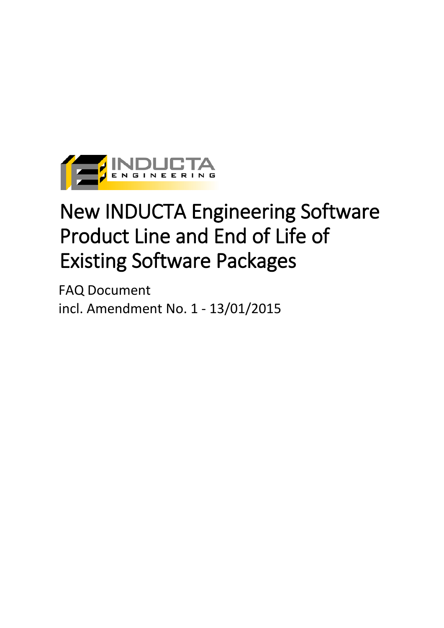

# New INDUCTA Engineering Software Product Line and End of Life of Existing Software Packages

FAQ Document incl. Amendment No. 1 - 13/01/2015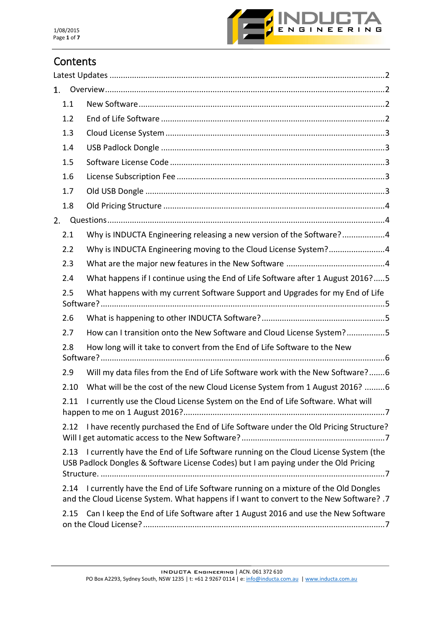

# **Contents**

| 1.                                                                                   |                                                                                                                                                                              |
|--------------------------------------------------------------------------------------|------------------------------------------------------------------------------------------------------------------------------------------------------------------------------|
| 1.1                                                                                  |                                                                                                                                                                              |
| 1.2                                                                                  |                                                                                                                                                                              |
| 1.3                                                                                  |                                                                                                                                                                              |
| 1.4                                                                                  |                                                                                                                                                                              |
| 1.5                                                                                  |                                                                                                                                                                              |
| 1.6                                                                                  |                                                                                                                                                                              |
| 1.7                                                                                  |                                                                                                                                                                              |
| 1.8                                                                                  |                                                                                                                                                                              |
| 2.                                                                                   |                                                                                                                                                                              |
| 2.1                                                                                  | Why is INDUCTA Engineering releasing a new version of the Software?4                                                                                                         |
| 2.2                                                                                  | Why is INDUCTA Engineering moving to the Cloud License System?4                                                                                                              |
| 2.3                                                                                  |                                                                                                                                                                              |
| 2.4                                                                                  | What happens if I continue using the End of Life Software after 1 August 2016?5                                                                                              |
| What happens with my current Software Support and Upgrades for my End of Life<br>2.5 |                                                                                                                                                                              |
| 2.6                                                                                  |                                                                                                                                                                              |
| 2.7                                                                                  | How can I transition onto the New Software and Cloud License System?5                                                                                                        |
| How long will it take to convert from the End of Life Software to the New<br>2.8     |                                                                                                                                                                              |
| 2.9                                                                                  | Will my data files from the End of Life Software work with the New Software?6                                                                                                |
| 2.10                                                                                 | What will be the cost of the new Cloud License System from 1 August 2016? 6                                                                                                  |
| 2.11                                                                                 | I currently use the Cloud License System on the End of Life Software. What will                                                                                              |
| 2.12                                                                                 | I have recently purchased the End of Life Software under the Old Pricing Structure?                                                                                          |
| 2.13                                                                                 | I currently have the End of Life Software running on the Cloud License System (the<br>USB Padlock Dongles & Software License Codes) but I am paying under the Old Pricing    |
| 2.14                                                                                 | I currently have the End of Life Software running on a mixture of the Old Dongles<br>and the Cloud License System. What happens if I want to convert to the New Software? .7 |
| 2.15                                                                                 | Can I keep the End of Life Software after 1 August 2016 and use the New Software                                                                                             |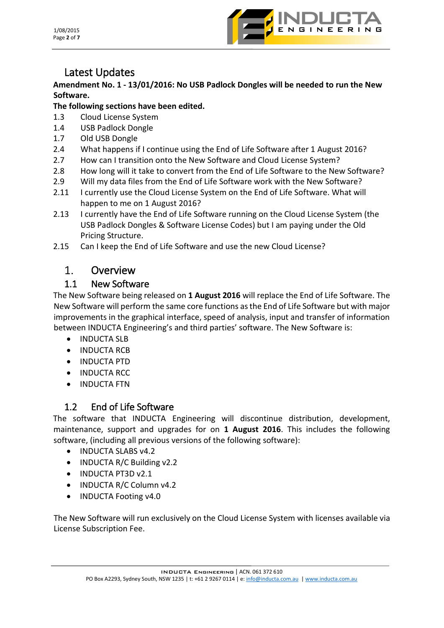1/08/2015 Page **2** of **7**



# <span id="page-2-0"></span>Latest Updates

#### **Amendment No. 1 - 13/01/2016: No USB Padlock Dongles will be needed to run the New Software.**

#### **The following sections have been edited.**

- 1.3 Cloud License System
- 1.4 USB Padlock Dongle
- 1.7 Old USB Dongle
- 2.4 What happens if I continue using the End of Life Software after 1 August 2016?
- 2.7 How can I transition onto the New Software and Cloud License System?
- 2.8 How long will it take to convert from the End of Life Software to the New Software?
- 2.9 Will my data files from the End of Life Software work with the New Software?
- 2.11 I currently use the Cloud License System on the End of Life Software. What will happen to me on 1 August 2016?
- 2.13 I currently have the End of Life Software running on the Cloud License System (the USB Padlock Dongles & Software License Codes) but I am paying under the Old Pricing Structure.
- 2.15 Can I keep the End of Life Software and use the new Cloud License?

#### <span id="page-2-1"></span> $1<sup>1</sup>$ Overview

#### 1.1 New Software

<span id="page-2-2"></span>The New Software being released on **1 August 2016** will replace the End of Life Software. The New Software will perform the same core functions as the End of Life Software but with major improvements in the graphical interface, speed of analysis, input and transfer of information between INDUCTA Engineering's and third parties' software. The New Software is:

- INDUCTA SLB
- INDUCTA RCB
- INDUCTA PTD
- INDUCTA RCC
- INDUCTA FTN

#### 1.2 End of Life Software

<span id="page-2-3"></span>The software that INDUCTA Engineering will discontinue distribution, development, maintenance, support and upgrades for on **1 August 2016**. This includes the following software, (including all previous versions of the following software):

- INDUCTA SLABS v4.2
- INDUCTA R/C Building v2.2
- INDUCTA PT3D v2.1
- INDUCTA R/C Column v4.2
- INDUCTA Footing v4.0

The New Software will run exclusively on the Cloud License System with licenses available via License Subscription Fee.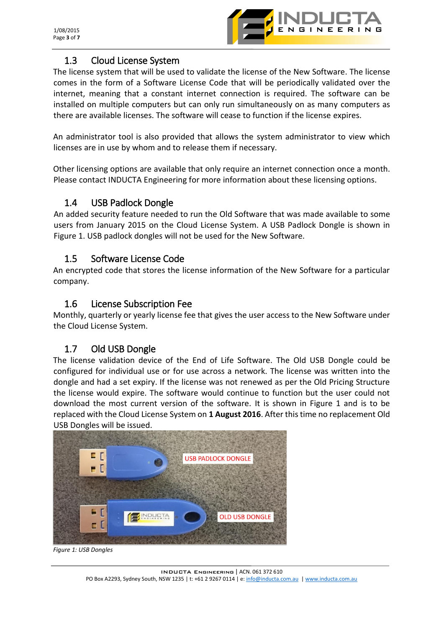

#### 1.3 Cloud License System

<span id="page-3-0"></span>The license system that will be used to validate the license of the New Software. The license comes in the form of a Software License Code that will be periodically validated over the internet, meaning that a constant internet connection is required. The software can be installed on multiple computers but can only run simultaneously on as many computers as there are available licenses. The software will cease to function if the license expires.

An administrator tool is also provided that allows the system administrator to view which licenses are in use by whom and to release them if necessary.

Other licensing options are available that only require an internet connection once a month. Please contact INDUCTA Engineering for more information about these licensing options.

#### <span id="page-3-1"></span>1.4 USB Padlock Dongle

An added security feature needed to run the Old Software that was made available to some users from January 2015 on the Cloud License System. A USB Padlock Dongle is shown in Figure 1. USB padlock dongles will not be used for the New Software.

#### 1.5 Software License Code

<span id="page-3-2"></span>An encrypted code that stores the license information of the New Software for a particular company.

#### <span id="page-3-3"></span>1.6 License Subscription Fee

Monthly, quarterly or yearly license fee that gives the user access to the New Software under the Cloud License System.

#### <span id="page-3-4"></span>1.7 Old USB Dongle

The license validation device of the End of Life Software. The Old USB Dongle could be configured for individual use or for use across a network. The license was written into the dongle and had a set expiry. If the license was not renewed as per the Old Pricing Structure the license would expire. The software would continue to function but the user could not download the most current version of the software. It is shown in Figure 1 and is to be replaced with the Cloud License System on **1 August 2016**. After this time no replacement Old USB Dongles will be issued.



*Figure 1: USB Dongles*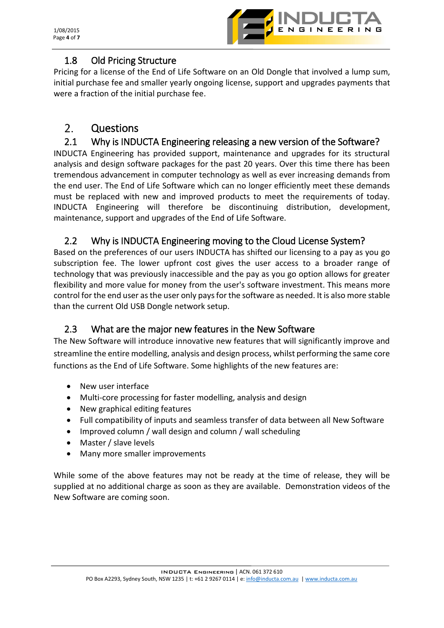

#### 1.8 Old Pricing Structure

<span id="page-4-0"></span>Pricing for a license of the End of Life Software on an Old Dongle that involved a lump sum, initial purchase fee and smaller yearly ongoing license, support and upgrades payments that were a fraction of the initial purchase fee.

#### <span id="page-4-1"></span> $2.$ Questions

#### <span id="page-4-2"></span>2.1 Why is INDUCTA Engineering releasing a new version of the Software?

INDUCTA Engineering has provided support, maintenance and upgrades for its structural analysis and design software packages for the past 20 years. Over this time there has been tremendous advancement in computer technology as well as ever increasing demands from the end user. The End of Life Software which can no longer efficiently meet these demands must be replaced with new and improved products to meet the requirements of today. INDUCTA Engineering will therefore be discontinuing distribution, development, maintenance, support and upgrades of the End of Life Software.

# <span id="page-4-3"></span>2.2 Why is INDUCTA Engineering moving to the Cloud License System?

Based on the preferences of our users INDUCTA has shifted our licensing to a pay as you go subscription fee. The lower upfront cost gives the user access to a broader range of technology that was previously inaccessible and the pay as you go option allows for greater flexibility and more value for money from the user's software investment. This means more control for the end user as the user only pays for the software as needed. It is also more stable than the current Old USB Dongle network setup.

#### <span id="page-4-4"></span>2.3 What are the major new features in the New Software

The New Software will introduce innovative new features that will significantly improve and streamline the entire modelling, analysis and design process, whilst performing the same core functions as the End of Life Software. Some highlights of the new features are:

- New user interface
- Multi-core processing for faster modelling, analysis and design
- New graphical editing features
- Full compatibility of inputs and seamless transfer of data between all New Software
- Improved column / wall design and column / wall scheduling
- Master / slave levels
- Many more smaller improvements

While some of the above features may not be ready at the time of release, they will be supplied at no additional charge as soon as they are available. Demonstration videos of the New Software are coming soon.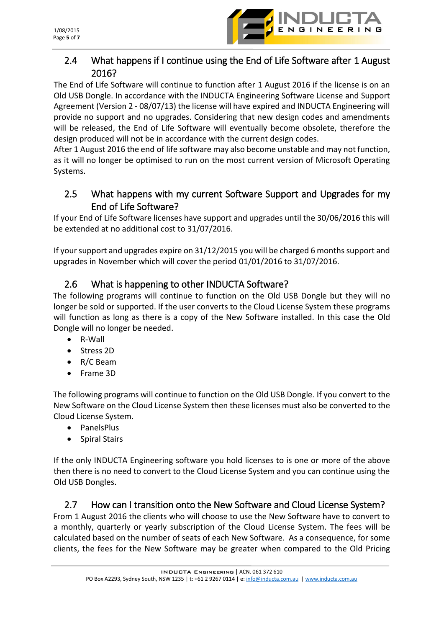

# <span id="page-5-0"></span>2.4 What happens if I continue using the End of Life Software after 1 August 2016?

The End of Life Software will continue to function after 1 August 2016 if the license is on an Old USB Dongle. In accordance with the INDUCTA Engineering Software License and Support Agreement (Version 2 - 08/07/13) the license will have expired and INDUCTA Engineering will provide no support and no upgrades. Considering that new design codes and amendments will be released, the End of Life Software will eventually become obsolete, therefore the design produced will not be in accordance with the current design codes.

After 1 August 2016 the end of life software may also become unstable and may not function, as it will no longer be optimised to run on the most current version of Microsoft Operating Systems.

#### <span id="page-5-1"></span>2.5 What happens with my current Software Support and Upgrades for my End of Life Software?

If your End of Life Software licenses have support and upgrades until the 30/06/2016 this will be extended at no additional cost to 31/07/2016.

If your support and upgrades expire on 31/12/2015 you will be charged 6 months support and upgrades in November which will cover the period 01/01/2016 to 31/07/2016.

# <span id="page-5-2"></span>2.6 What is happening to other INDUCTA Software?

The following programs will continue to function on the Old USB Dongle but they will no longer be sold or supported. If the user converts to the Cloud License System these programs will function as long as there is a copy of the New Software installed. In this case the Old Dongle will no longer be needed.

- R-Wall
- Stress 2D
- R/C Beam
- **•** Frame 3D

The following programs will continue to function on the Old USB Dongle. If you convert to the New Software on the Cloud License System then these licenses must also be converted to the Cloud License System.

- PanelsPlus
- Spiral Stairs

If the only INDUCTA Engineering software you hold licenses to is one or more of the above then there is no need to convert to the Cloud License System and you can continue using the Old USB Dongles.

#### <span id="page-5-3"></span>2.7 How can I transition onto the New Software and Cloud License System?

From 1 August 2016 the clients who will choose to use the New Software have to convert to a monthly, quarterly or yearly subscription of the Cloud License System. The fees will be calculated based on the number of seats of each New Software. As a consequence, for some clients, the fees for the New Software may be greater when compared to the Old Pricing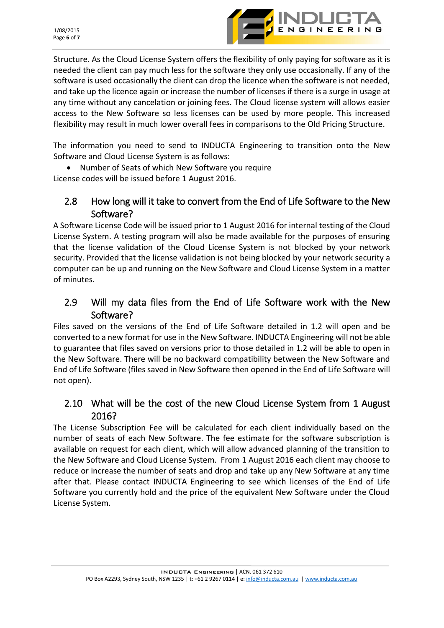

Structure. As the Cloud License System offers the flexibility of only paying for software as it is needed the client can pay much less for the software they only use occasionally. If any of the software is used occasionally the client can drop the licence when the software is not needed, and take up the licence again or increase the number of licenses if there is a surge in usage at any time without any cancelation or joining fees. The Cloud license system will allows easier access to the New Software so less licenses can be used by more people. This increased flexibility may result in much lower overall fees in comparisons to the Old Pricing Structure.

The information you need to send to INDUCTA Engineering to transition onto the New Software and Cloud License System is as follows:

 Number of Seats of which New Software you require License codes will be issued before 1 August 2016.

#### <span id="page-6-0"></span>2.8 How long will it take to convert from the End of Life Software to the New Software?

A Software License Code will be issued prior to 1 August 2016 for internal testing of the Cloud License System. A testing program will also be made available for the purposes of ensuring that the license validation of the Cloud License System is not blocked by your network security. Provided that the license validation is not being blocked by your network security a computer can be up and running on the New Software and Cloud License System in a matter of minutes.

# <span id="page-6-1"></span>2.9 Will my data files from the End of Life Software work with the New Software?

Files saved on the versions of the End of Life Software detailed in 1.2 will open and be converted to a new format for use in the New Software. INDUCTA Engineering will not be able to guarantee that files saved on versions prior to those detailed in 1.2 will be able to open in the New Software. There will be no backward compatibility between the New Software and End of Life Software (files saved in New Software then opened in the End of Life Software will not open).

#### <span id="page-6-2"></span>2.10 What will be the cost of the new Cloud License System from 1 August 2016?

The License Subscription Fee will be calculated for each client individually based on the number of seats of each New Software. The fee estimate for the software subscription is available on request for each client, which will allow advanced planning of the transition to the New Software and Cloud License System. From 1 August 2016 each client may choose to reduce or increase the number of seats and drop and take up any New Software at any time after that. Please contact INDUCTA Engineering to see which licenses of the End of Life Software you currently hold and the price of the equivalent New Software under the Cloud License System.